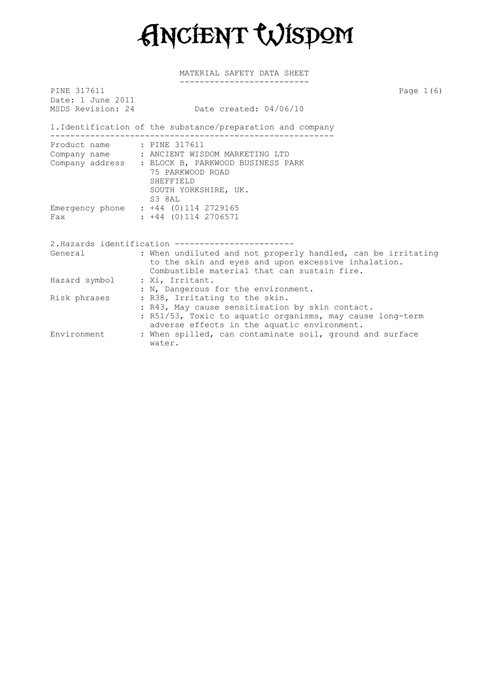Ancient Wisdom

| PINE 317611<br>Date: 1 June 2011<br>MSDS Revision: 24 | Page $1(6)$<br>Date created: $04/06/10$                                                                                                                                                       |  |  |  |  |
|-------------------------------------------------------|-----------------------------------------------------------------------------------------------------------------------------------------------------------------------------------------------|--|--|--|--|
|                                                       | 1. Identification of the substance/preparation and company<br>--------------------------------------                                                                                          |  |  |  |  |
| Product name: : PINE 317611                           | Company name : ANCIENT WISDOM MARKETING LTD<br>Company address : BLOCK B, PARKWOOD BUSINESS PARK<br>75 PARKWOOD ROAD<br>SHEFFIELD                                                             |  |  |  |  |
| Fax                                                   | SOUTH YORKSHIRE, UK.<br>S3 8AL<br>Emergency phone : +44 (0)114 2729165<br>$: +44$ (0)114 2706571                                                                                              |  |  |  |  |
|                                                       | 2. Hazards identification ---------------------                                                                                                                                               |  |  |  |  |
| General                                               | : When undiluted and not properly handled, can be irritating<br>to the skin and eyes and upon excessive inhalation.<br>Combustible material that can sustain fire.                            |  |  |  |  |
| Hazard symbol                                         | : Xi, Irritant.<br>: N, Dangerous for the environment.                                                                                                                                        |  |  |  |  |
| Risk phrases                                          | : R38, Irritating to the skin.<br>: R43, May cause sensitisation by skin contact.<br>: R51/53, Toxic to aquatic organisms, may cause long-term<br>adverse effects in the aquatic environment. |  |  |  |  |
| Environment                                           | : When spilled, can contaminate soil, ground and surface<br>water.                                                                                                                            |  |  |  |  |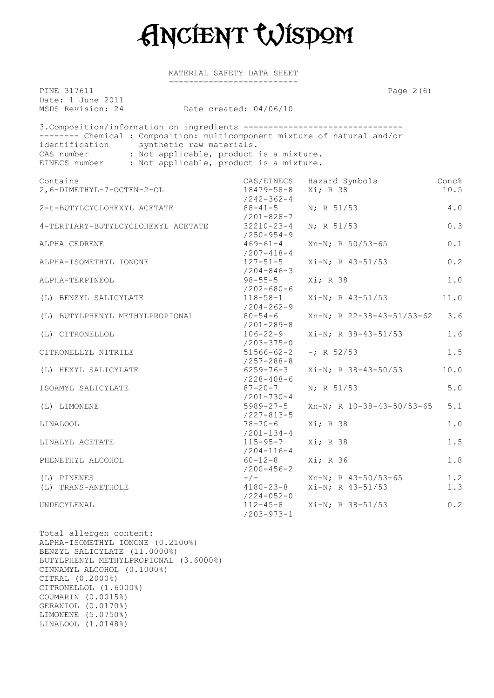

MATERIAL SAFETY DATA SHEET --------------------------

| PINE 317611<br>Date: 1 June 2011<br>MSDS Revision: 24                                                                                                                                                                                                                                                             | Date created: 04/06/10                       | Page $2(6)$                  |               |
|-------------------------------------------------------------------------------------------------------------------------------------------------------------------------------------------------------------------------------------------------------------------------------------------------------------------|----------------------------------------------|------------------------------|---------------|
| 3. Composition/information on ingredients --------------------------------<br>-------- Chemical : Composition: multicomponent mixture of natural and/or<br>identification synthetic raw materials.<br>CAS number : Not applicable, product is a mixture.<br>EINECS number : Not applicable, product is a mixture. |                                              |                              |               |
| Contains<br>2,6-DIMETHYL-7-OCTEN-2-OL                                                                                                                                                                                                                                                                             | CAS/EINECS<br>18479-58-8<br>$/242 - 362 - 4$ | Hazard Symbols<br>Xi; R 38   | Conc%<br>10.5 |
| 2-t-BUTYLCYCLOHEXYL ACETATE                                                                                                                                                                                                                                                                                       | $88 - 41 - 5$<br>$/201 - 828 - 7$            | N; R 51/53                   | 4.0           |
| 4-TERTIARY-BUTYLCYCLOHEXYL ACETATE                                                                                                                                                                                                                                                                                | $32210 - 23 - 4$<br>$/250 - 954 - 9$         | $N$ ; R 51/53                | 0.3           |
| ALPHA CEDRENE                                                                                                                                                                                                                                                                                                     | $469 - 61 - 4$<br>$/207 - 418 - 4$           | Xn-N; R 50/53-65             | 0.1           |
| ALPHA-ISOMETHYL IONONE                                                                                                                                                                                                                                                                                            | $127 - 51 - 5$<br>$/204 - 846 - 3$           | $Xi-N$ ; R 43-51/53          | 0.2           |
| ALPHA-TERPINEOL                                                                                                                                                                                                                                                                                                   | $98 - 55 - 5$<br>$/202 - 680 - 6$            | Xi; R 38                     | 1.0           |
| (L) BENZYL SALICYLATE                                                                                                                                                                                                                                                                                             | $118 - 58 - 1$<br>$/204 - 262 - 9$           | $Xi-N$ ; R 43-51/53          | 11.0          |
| (L) BUTYLPHENYL METHYLPROPIONAL                                                                                                                                                                                                                                                                                   | $80 - 54 - 6$<br>$/201 - 289 - 8$            | $Xn-N$ ; R 22-38-43-51/53-62 | 3.6           |
| (L) CITRONELLOL                                                                                                                                                                                                                                                                                                   | $106 - 22 - 9$<br>$/203 - 375 - 0$           | $Xi-N$ ; R 38-43-51/53       | 1.6           |
| CITRONELLYL NITRILE                                                                                                                                                                                                                                                                                               | $51566 - 62 - 2$<br>$/257 - 288 - 8$         | $-i$ R 52/53                 | 1.5           |
| (L) HEXYL SALICYLATE                                                                                                                                                                                                                                                                                              | $6259 - 76 - 3$<br>$/228 - 408 - 6$          | Xi-N; R 38-43-50/53          | 10.0          |
| ISOAMYL SALICYLATE                                                                                                                                                                                                                                                                                                | $87 - 20 - 7$<br>$/201 - 730 - 4$            | $N$ ; R 51/53                | 5.0           |
| (L) LIMONENE                                                                                                                                                                                                                                                                                                      | $5989 - 27 - 5$<br>$/227 - 813 - 5$          | $Xn-N$ ; R 10-38-43-50/53-65 | 5.1           |
| LINALOOL                                                                                                                                                                                                                                                                                                          | $78 - 70 - 6$<br>$/201 - 134 - 4$            | Xi; R 38                     | 1.0           |
| LINALYL ACETATE                                                                                                                                                                                                                                                                                                   | $115 - 95 - 7$<br>$/204 - 116 - 4$           | Xi; R 38                     | 1.5           |
| PHENETHYL ALCOHOL                                                                                                                                                                                                                                                                                                 | $60 - 12 - 8$<br>$/200 - 456 - 2$            | Xi; R 36                     | 1.8           |
| (L) PINENES                                                                                                                                                                                                                                                                                                       | $-\big/$ $-$                                 | $Xn-N$ ; R 43-50/53-65       | 1.2           |
| (L) TRANS-ANETHOLE                                                                                                                                                                                                                                                                                                | $4180 - 23 - 8$<br>$/224 - 052 - 0$          | $Xi-N$ ; R 43-51/53          | 1.3           |
| UNDECYLENAL                                                                                                                                                                                                                                                                                                       | $112 - 45 - 8$<br>$/203 - 973 - 1$           | $Xi-N$ ; R 38-51/53          | 0.2           |

Total allergen content: ALPHA-ISOMETHYL IONONE (0.2100%) BENZYL SALICYLATE (11.0000%) BUTYLPHENYL METHYLPROPIONAL (3.6000%) CINNAMYL ALCOHOL (0.1000%) CITRAL (0.2000%) CITRONELLOL (1.6000%) COUMARIN (0.0015%) GERANIOL (0.0170%) LIMONENE (5.0750%) LINALOOL (1.0148%)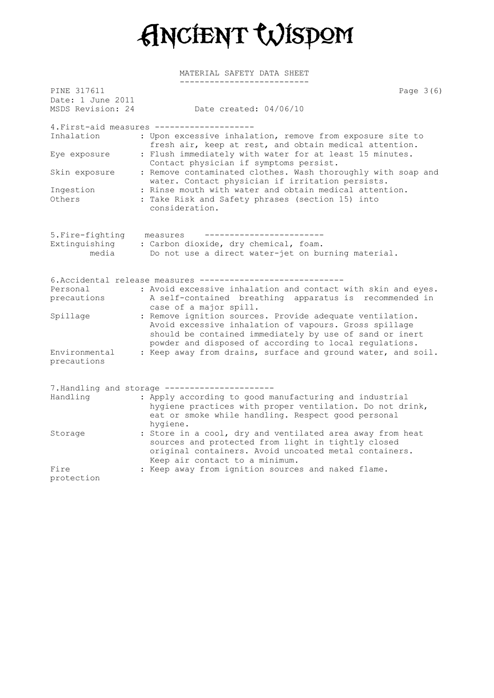

| PINE 317611<br>Date: 1 June 2011 | Page $3(6)$                                                                                                                                                                                                                            |  |
|----------------------------------|----------------------------------------------------------------------------------------------------------------------------------------------------------------------------------------------------------------------------------------|--|
| MSDS Revision: 24                | Date created: 04/06/10                                                                                                                                                                                                                 |  |
|                                  | 4. First-aid measures ------------------                                                                                                                                                                                               |  |
| Inhalation                       | : Upon excessive inhalation, remove from exposure site to<br>fresh air, keep at rest, and obtain medical attention.                                                                                                                    |  |
| Eye exposure                     | : Flush immediately with water for at least 15 minutes.<br>Contact physician if symptoms persist.                                                                                                                                      |  |
| Skin exposure                    | : Remove contaminated clothes. Wash thoroughly with soap and<br>water. Contact physician if irritation persists.                                                                                                                       |  |
| Ingestion<br>Others              | : Rinse mouth with water and obtain medical attention.<br>: Take Risk and Safety phrases (section 15) into<br>consideration.                                                                                                           |  |
| 5. Fire-fighting                 | measures                                                                                                                                                                                                                               |  |
| Extinguishing                    | : Carbon dioxide, dry chemical, foam.                                                                                                                                                                                                  |  |
| media                            | Do not use a direct water-jet on burning material.                                                                                                                                                                                     |  |
|                                  | 6.Accidental release measures ------------                                                                                                                                                                                             |  |
| Personal                         | : Avoid excessive inhalation and contact with skin and eyes.                                                                                                                                                                           |  |
| precautions                      | A self-contained breathing apparatus is recommended in<br>case of a major spill.                                                                                                                                                       |  |
| Spillage                         | : Remove ignition sources. Provide adequate ventilation.<br>Avoid excessive inhalation of vapours. Gross spillage<br>should be contained immediately by use of sand or inert<br>powder and disposed of according to local regulations. |  |
| Environmental<br>precautions     | : Keep away from drains, surface and ground water, and soil.                                                                                                                                                                           |  |
|                                  | 7. Handling and storage ---------------------                                                                                                                                                                                          |  |
| Handling                         | : Apply according to good manufacturing and industrial<br>hygiene practices with proper ventilation. Do not drink,<br>eat or smoke while handling. Respect good personal<br>hygiene.                                                   |  |
| Storage                          | : Store in a cool, dry and ventilated area away from heat<br>sources and protected from light in tightly closed<br>original containers. Avoid uncoated metal containers.<br>Keep air contact to a minimum.                             |  |
| Fire                             | : Keep away from ignition sources and naked flame.                                                                                                                                                                                     |  |
| protection                       |                                                                                                                                                                                                                                        |  |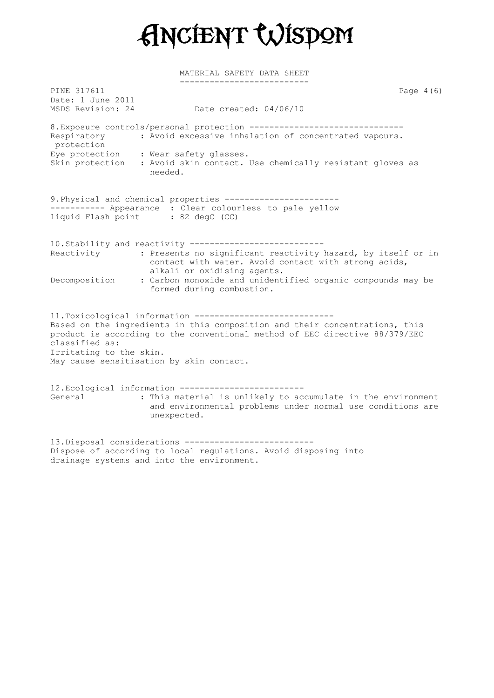

-------------------------- PINE 317611 Page 4(6) Date: 1 June 2011 MSDS Revision: 24 Date created: 04/06/10 8. Exposure controls/personal protection --------------------------------Respiratory : Avoid excessive inhalation of concentrated vapours. protection Eye protection : Wear safety glasses. Skin protection : Avoid skin contact. Use chemically resistant gloves as needed. 9.Physical and chemical properties ----------------------- ----------- Appearance : Clear colourless to pale yellow liquid Flash point : 82 degC (CC) 10.Stability and reactivity --------------------------- Reactivity : Presents no significant reactivity hazard, by itself or in contact with water. Avoid contact with strong acids, alkali or oxidising agents. Decomposition : Carbon monoxide and unidentified organic compounds may be formed during combustion. 11.Toxicological information ---------------------------- Based on the ingredients in this composition and their concentrations, this product is according to the conventional method of EEC directive 88/379/EEC classified as: Irritating to the skin. May cause sensitisation by skin contact. 12.Ecological information ------------------------- General : This material is unlikely to accumulate in the environment and environmental problems under normal use conditions are unexpected. 13.Disposal considerations --------------------------

Dispose of according to local regulations. Avoid disposing into drainage systems and into the environment.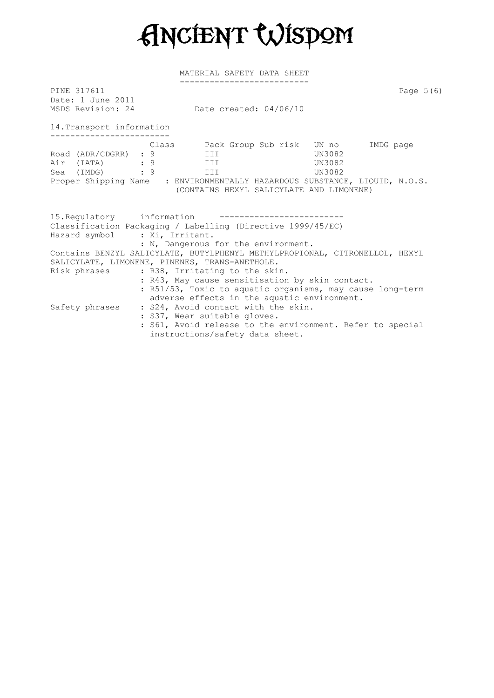Ancient Wisdom

| PINE 317611<br>Date: 1 June 2011<br>MSDS Revision: 24 | Date created: 04/06/10                                                                                                                                                                                                                                                    | Page $5(6)$ |
|-------------------------------------------------------|---------------------------------------------------------------------------------------------------------------------------------------------------------------------------------------------------------------------------------------------------------------------------|-------------|
|                                                       |                                                                                                                                                                                                                                                                           |             |
| 14. Transport information                             |                                                                                                                                                                                                                                                                           |             |
|                                                       | Class Back Group Sub risk UN no IMDG page<br>Road (ADR/CDGRR) : 9 III<br>UN3082<br>Air (IATA) : 9 III<br>UN3082<br>Sea (IMDG) : 9 III<br>UN3082<br>Proper Shipping Name : ENVIRONMENTALLY HAZARDOUS SUBSTANCE, LIQUID, N.O.S.<br>(CONTAINS HEXYL SALICYLATE AND LIMONENE) |             |
| Hazard symbol : Xi, Irritant.                         | 15. Regulatory information ---------------<br>Classification Packaging / Labelling (Directive 1999/45/EC)<br>: N, Dangerous for the environment.                                                                                                                          |             |
|                                                       | Contains BENZYL SALICYLATE, BUTYLPHENYL METHYLPROPIONAL, CITRONELLOL, HEXYL<br>SALICYLATE, LIMONENE, PINENES, TRANS-ANETHOLE.                                                                                                                                             |             |
|                                                       | Risk phrases : R38, Irritating to the skin.<br>: R43, May cause sensitisation by skin contact.<br>: R51/53, Toxic to aquatic organisms, may cause long-term<br>adverse effects in the aquatic environment.                                                                |             |
|                                                       | Safety phrases : S24, Avoid contact with the skin.<br>: S37, Wear suitable gloves.<br>: S61, Avoid release to the environment. Refer to special<br>instructions/safety data sheet.                                                                                        |             |